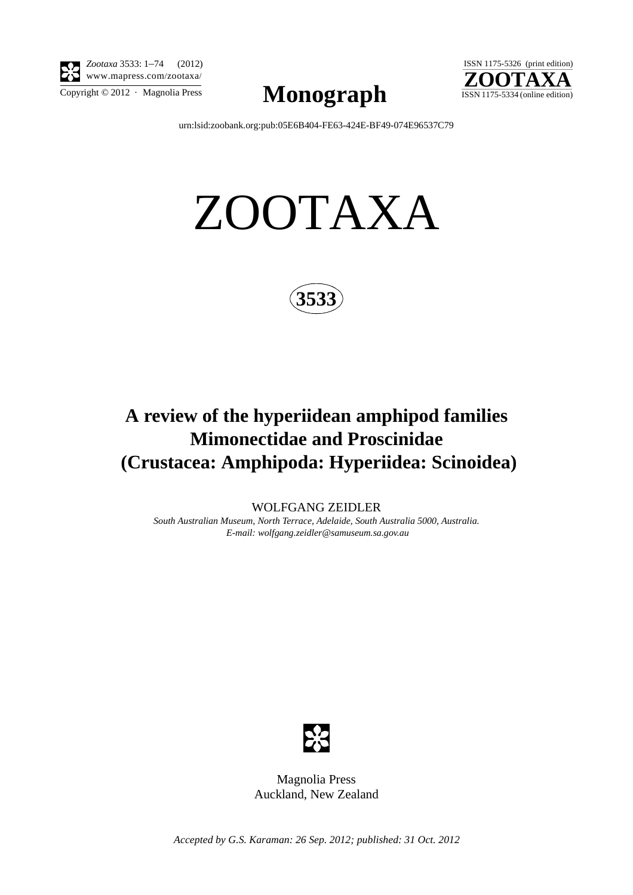

*Zootaxa* 3533: 1–74 (2012) www.mapress.com/zootaxa/

 $\sum_{\text{Copyright © }2012 \text{ } \cdot \text{ Magnolia Press}} \text{Mongraph}$  ISSN 1175-5334 (online edition)



[urn:lsid:zoobank.org:pub:05E6B404-FE63-424E-BF49-074E96537C79](http://zoobank.org/urn:lsid:zoobank.org:pub:05E6B404-FE63-424E-BF49-074E96537C79)

# ZOOTAXA



## **A review of the hyperiidean amphipod families Mimonectidae and Proscinidae (Crustacea: Amphipoda: Hyperiidea: Scinoidea)**

WOLFGANG ZEIDLER *South Australian Museum, North Terrace, Adelaide, South Australia 5000, Australia. E-mail: wolfgang.zeidler@samuseum.sa.gov.au*



Magnolia Press Auckland, New Zealand

*Accepted by G.S. Karaman: 26 Sep. 2012; published: 31 Oct. 2012*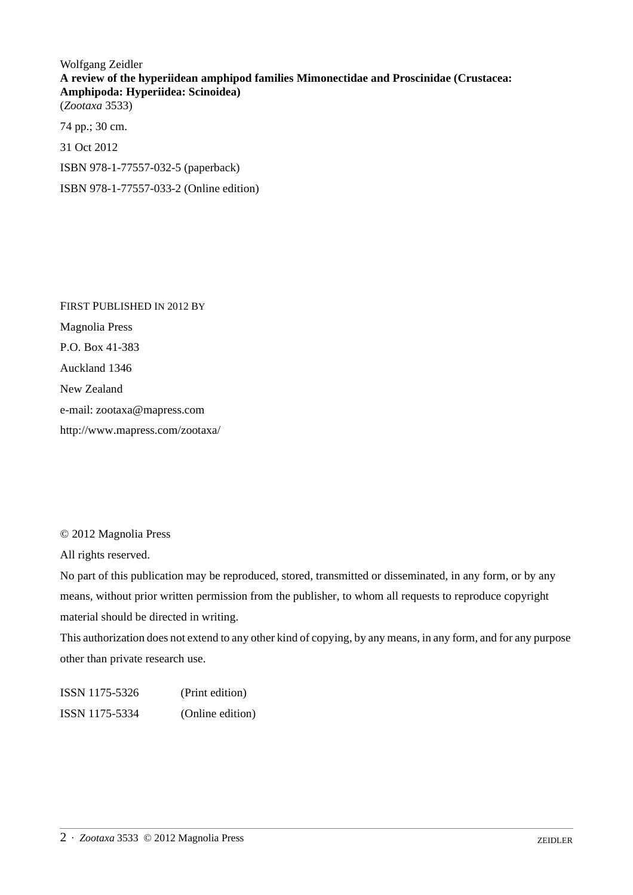### Wolfgang Zeidler **A review of the hyperiidean amphipod families Mimonectidae and Proscinidae (Crustacea: Amphipoda: Hyperiidea: Scinoidea)** (*Zootaxa* 3533)

74 pp.; 30 cm. 31 Oct 2012 ISBN 978-1-77557-032-5 (paperback) ISBN 978-1-77557-033-2 (Online edition)

FIRST PUBLISHED IN 2012 BY Magnolia Press P.O. Box 41-383 Auckland 1346 New Zealand e-mail: zootaxa@mapress.com http://www.mapress.com/zootaxa/

© 2012 Magnolia Press

All rights reserved.

No part of this publication may be reproduced, stored, transmitted or disseminated, in any form, or by any means, without prior written permission from the publisher, to whom all requests to reproduce copyright material should be directed in writing.

This authorization does not extend to any other kind of copying, by any means, in any form, and for any purpose other than private research use.

ISSN 1175-5326 (Print edition) ISSN 1175-5334 (Online edition)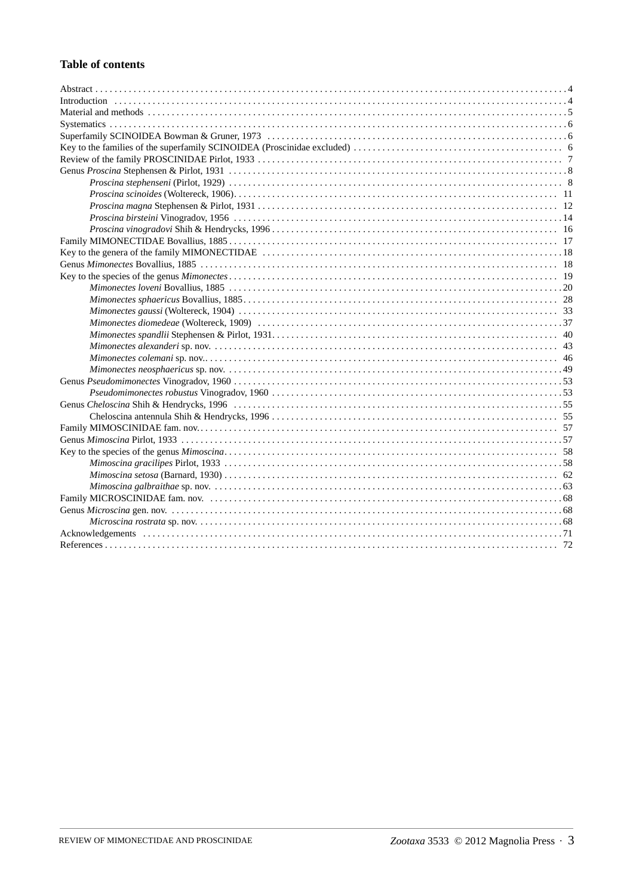#### **Table of contents**